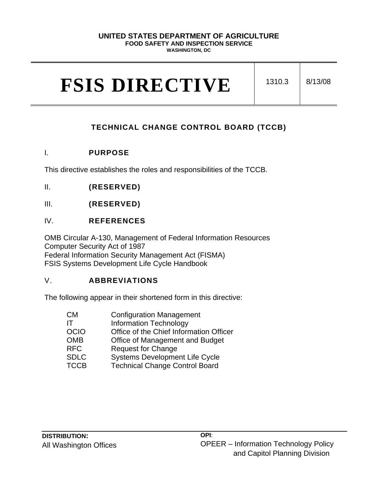#### **UNITED STATES DEPARTMENT OF AGRICULTURE**

#### **FOOD SAFETY AND INSPECTION SERVICE**

**WASHINGTON, DC**

# **FSIS DIRECTIVE** 1310.3 8/13/08

# **TECHNICAL CHANGE CONTROL BOARD (TCCB)**

# I. **PURPOSE**

This directive establishes the roles and responsibilities of the TCCB.

- II. **(RESERVED)**
- III. **(RESERVED)**

# IV. **REFERENCES**

OMB Circular A-130, Management of Federal Information Resources Computer Security Act of 1987 Federal Information Security Management Act (FISMA) FSIS Systems Development Life Cycle Handbook

# V. **ABBREVIATIONS**

The following appear in their shortened form in this directive:

| <b>CM</b>   | <b>Configuration Management</b>         |
|-------------|-----------------------------------------|
| IТ          | <b>Information Technology</b>           |
| <b>OCIO</b> | Office of the Chief Information Officer |
| <b>OMB</b>  | Office of Management and Budget         |
| <b>RFC</b>  | <b>Request for Change</b>               |
| <b>SDLC</b> | <b>Systems Development Life Cycle</b>   |
| <b>TCCB</b> | <b>Technical Change Control Board</b>   |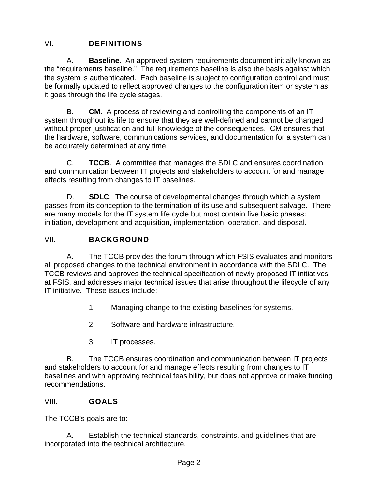# VI. **DEFINITIONS**

A. **Baseline**.An approved system requirements document initially known as the "requirements baseline." The requirements baseline is also the basis against which the system is authenticated. Each baseline is subject to configuration control and must be formally updated to reflect approved changes to the configuration item or system as it goes through the life cycle stages.

B. **CM**. A process of reviewing and controlling the components of an IT system throughout its life to ensure that they are well-defined and cannot be changed without proper justification and full knowledge of the consequences. CM ensures that the hardware, software, communications services, and documentation for a system can be accurately determined at any time.

C. **TCCB**. A committee that manages the SDLC and ensures coordination and communication between IT projects and stakeholders to account for and manage effects resulting from changes to IT baselines.

D. **SDLC**. The course of developmental changes through which a system passes from its conception to the termination of its use and subsequent salvage. There are many models for the IT system life cycle but most contain five basic phases: initiation, development and acquisition, implementation, operation, and disposal.

# VII. **BACKGROUND**

A. The TCCB provides the forum through which FSIS evaluates and monitors all proposed changes to the technical environment in accordance with the SDLC. The TCCB reviews and approves the technical specification of newly proposed IT initiatives at FSIS, and addresses major technical issues that arise throughout the lifecycle of any IT initiative. These issues include:

- 1. Managing change to the existing baselines for systems.
- 2. Software and hardware infrastructure.
- 3. IT processes.

B. The TCCB ensures coordination and communication between IT projects and stakeholders to account for and manage effects resulting from changes to IT baselines and with approving technical feasibility, but does not approve or make funding recommendations.

# VIII. **GOALS**

The TCCB's goals are to:

A. Establish the technical standards, constraints, and guidelines that are incorporated into the technical architecture.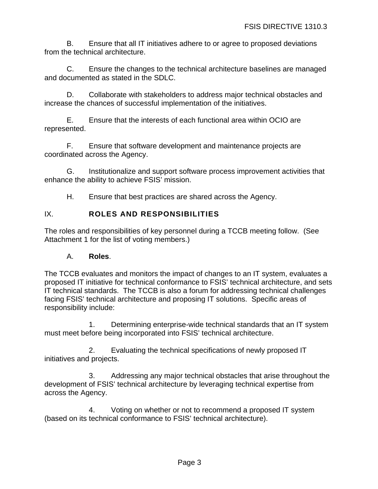B. Ensure that all IT initiatives adhere to or agree to proposed deviations from the technical architecture.

C. Ensure the changes to the technical architecture baselines are managed and documented as stated in the SDLC.

D. Collaborate with stakeholders to address major technical obstacles and increase the chances of successful implementation of the initiatives.

E. Ensure that the interests of each functional area within OCIO are represented.

F. Ensure that software development and maintenance projects are coordinated across the Agency.

G. Institutionalize and support software process improvement activities that enhance the ability to achieve FSIS' mission.

H. Ensure that best practices are shared across the Agency.

# IX. **ROLES AND RESPONSIBILITIES**

The roles and responsibilities of key personnel during a TCCB meeting follow. (See Attachment 1 for the list of voting members.)

### A. **Roles**.

The TCCB evaluates and monitors the impact of changes to an IT system, evaluates a proposed IT initiative for technical conformance to FSIS' technical architecture, and sets IT technical standards. The TCCB is also a forum for addressing technical challenges facing FSIS' technical architecture and proposing IT solutions. Specific areas of responsibility include:

1. Determining enterprise-wide technical standards that an IT system must meet before being incorporated into FSIS' technical architecture.

2. Evaluating the technical specifications of newly proposed IT initiatives and projects.

3. Addressing any major technical obstacles that arise throughout the development of FSIS' technical architecture by leveraging technical expertise from across the Agency.

4. Voting on whether or not to recommend a proposed IT system (based on its technical conformance to FSIS' technical architecture).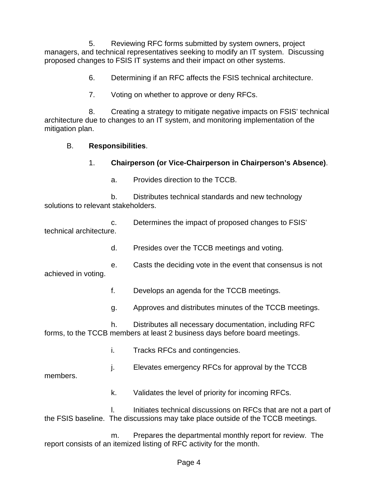5. Reviewing RFC forms submitted by system owners, project managers, and technical representatives seeking to modify an IT system. Discussing proposed changes to FSIS IT systems and their impact on other systems.

- 6. Determining if an RFC affects the FSIS technical architecture.
- 7. Voting on whether to approve or deny RFCs.

8. Creating a strategy to mitigate negative impacts on FSIS' technical architecture due to changes to an IT system, and monitoring implementation of the mitigation plan.

#### B. **Responsibilities**.

- 1. **Chairperson (or Vice-Chairperson in Chairperson's Absence)**.
	- a. Provides direction to the TCCB.

b. Distributes technical standards and new technology solutions to relevant stakeholders.

|                         | Determines the impact of proposed changes to FSIS' |
|-------------------------|----------------------------------------------------|
| technical architecture. |                                                    |
|                         |                                                    |

- d. Presides over the TCCB meetings and voting.
- e. Casts the deciding vote in the event that consensus is not achieved in voting.
	- f. Develops an agenda for the TCCB meetings.
	- g. Approves and distributes minutes of the TCCB meetings.

h. Distributes all necessary documentation, including RFC forms, to the TCCB members at least 2 business days before board meetings.

- i. Tracks RFCs and contingencies.
- j. Elevates emergency RFCs for approval by the TCCB

members.

k. Validates the level of priority for incoming RFCs.

l. Initiates technical discussions on RFCs that are not a part of the FSIS baseline. The discussions may take place outside of the TCCB meetings.

m. Prepares the departmental monthly report for review. The report consists of an itemized listing of RFC activity for the month.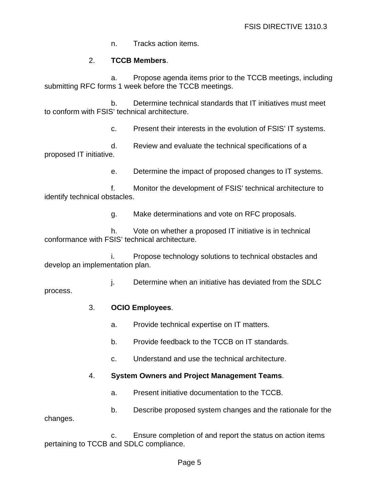n. Tracks action items.

### 2. **TCCB Members**.

a. Propose agenda items prior to the TCCB meetings, including submitting RFC forms 1 week before the TCCB meetings.

b. Determine technical standards that IT initiatives must meet to conform with FSIS' technical architecture.

c. Present their interests in the evolution of FSIS' IT systems.

d. Review and evaluate the technical specifications of a proposed IT initiative.

e. Determine the impact of proposed changes to IT systems.

f. Monitor the development of FSIS' technical architecture to identify technical obstacles.

g. Make determinations and vote on RFC proposals.

h. Vote on whether a proposed IT initiative is in technical conformance with FSIS' technical architecture.

i. Propose technology solutions to technical obstacles and develop an implementation plan.

j. Determine when an initiative has deviated from the SDLC process.

#### 3. **OCIO Employees**.

- a. Provide technical expertise on IT matters.
- b. Provide feedback to the TCCB on IT standards.
- c. Understand and use the technical architecture.

### 4. **System Owners and Project Management Teams**.

a. Present initiative documentation to the TCCB.

b. Describe proposed system changes and the rationale for the changes.

c. Ensure completion of and report the status on action items pertaining to TCCB and SDLC compliance.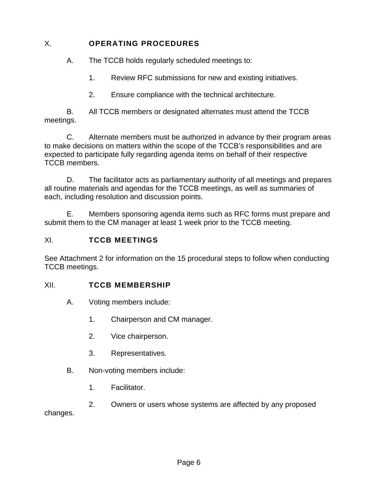# X. **OPERATING PROCEDURES**

A. The TCCB holds regularly scheduled meetings to:

- 1. Review RFC submissions for new and existing initiatives.
- 2. Ensure compliance with the technical architecture.

B. All TCCB members or designated alternates must attend the TCCB meetings.

C. Alternate members must be authorized in advance by their program areas to make decisions on matters within the scope of the TCCB's responsibilities and are expected to participate fully regarding agenda items on behalf of their respective TCCB members.

D. The facilitator acts as parliamentary authority of all meetings and prepares all routine materials and agendas for the TCCB meetings, as well as summaries of each, including resolution and discussion points.

E. Members sponsoring agenda items such as RFC forms must prepare and submit them to the CM manager at least 1 week prior to the TCCB meeting.

# XI. **TCCB MEETINGS**

See Attachment 2 for information on the 15 procedural steps to follow when conducting TCCB meetings.

# XII. **TCCB MEMBERSHIP**

- A. Voting members include:
	- 1. Chairperson and CM manager.
	- 2. Vice chairperson.
	- 3. Representatives.
- B. Non-voting members include:
	- 1. Facilitator.

2. Owners or users whose systems are affected by any proposed changes.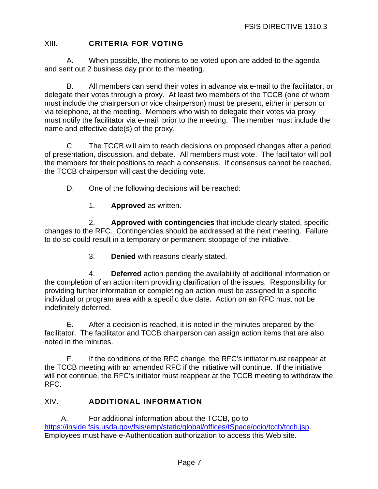# XIII. **CRITERIA FOR VOTING**

A. When possible, the motions to be voted upon are added to the agenda and sent out 2 business day prior to the meeting.

B. All members can send their votes in advance via e-mail to the facilitator, or delegate their votes through a proxy. At least two members of the TCCB (one of whom must include the chairperson or vice chairperson) must be present, either in person or via telephone, at the meeting. Members who wish to delegate their votes via proxy must notify the facilitator via e-mail, prior to the meeting. The member must include the name and effective date(s) of the proxy.

C. The TCCB will aim to reach decisions on proposed changes after a period of presentation, discussion, and debate. All members must vote. The facilitator will poll the members for their positions to reach a consensus. If consensus cannot be reached, the TCCB chairperson will cast the deciding vote.

- D. One of the following decisions will be reached:
	- 1. **Approved** as written.

2. **Approved with contingencies** that include clearly stated, specific changes to the RFC. Contingencies should be addressed at the next meeting. Failure to do so could result in a temporary or permanent stoppage of the initiative.

3. **Denied** with reasons clearly stated.

4. **Deferred** action pending the availability of additional information or the completion of an action item providing clarification of the issues. Responsibility for providing further information or completing an action must be assigned to a specific individual or program area with a specific due date. Action on an RFC must not be indefinitely deferred.

E. After a decision is reached, it is noted in the minutes prepared by the facilitator. The facilitator and TCCB chairperson can assign action items that are also noted in the minutes.

F. If the conditions of the RFC change, the RFC's initiator must reappear at the TCCB meeting with an amended RFC if the initiative will continue. If the initiative will not continue, the RFC's initiator must reappear at the TCCB meeting to withdraw the RFC.

### XIV. **ADDITIONAL INFORMATION**

A. For additional information about the TCCB, go to [https://inside.fsis.usda.gov/fsis/emp/static/global/offices/tSpace/ocio/tccb/tccb.jsp.](https://inside.fsis.usda.gov/fsis/emp/static/global/offices/tSpace/ocio/tccb/tccb.jsp) Employees must have e-Authentication authorization to access this Web site.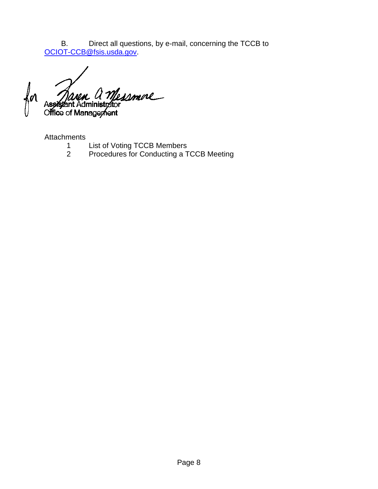B. Direct all questions, by e-mail, concerning the TCCB to [OCIOT-CCB@fsis.usda.gov.](mailto:OCIOT-CCB@fsis.usda.gov)

smore KМ Office of Management

Attachments

- 1 List of Voting TCCB Members<br>2 Procedures for Conducting a T
- Procedures for Conducting a TCCB Meeting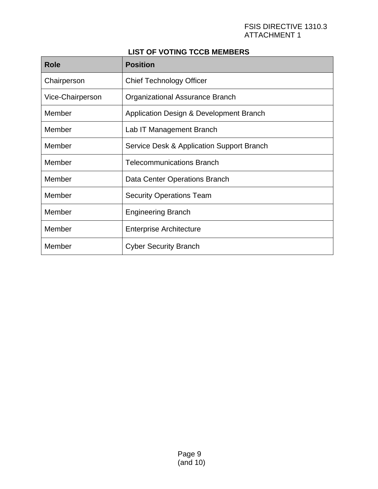#### FSIS DIRECTIVE 1310.3 ATTACHMENT 1

# **LIST OF VOTING TCCB MEMBERS**

| <b>Role</b>      | <b>Position</b>                           |
|------------------|-------------------------------------------|
| Chairperson      | <b>Chief Technology Officer</b>           |
| Vice-Chairperson | Organizational Assurance Branch           |
| Member           | Application Design & Development Branch   |
| Member           | Lab IT Management Branch                  |
| Member           | Service Desk & Application Support Branch |
| Member           | <b>Telecommunications Branch</b>          |
| Member           | Data Center Operations Branch             |
| Member           | <b>Security Operations Team</b>           |
| Member           | <b>Engineering Branch</b>                 |
| Member           | <b>Enterprise Architecture</b>            |
| Member           | <b>Cyber Security Branch</b>              |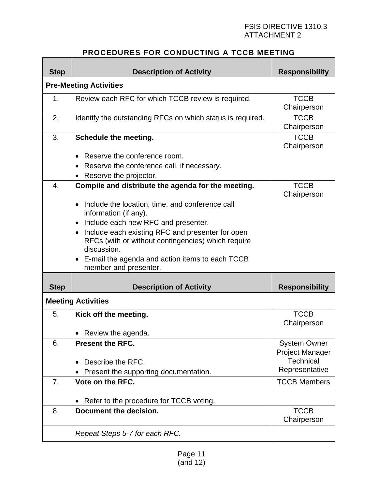#### FSIS DIRECTIVE 1310.3 ATTACHMENT 2

# **PROCEDURES FOR CONDUCTING A TCCB MEETING**

| <b>Step</b>      | <b>Description of Activity</b>                                                                                                                                                                                                                                                                                                                                                                                    | <b>Responsibility</b>                                                               |  |  |  |
|------------------|-------------------------------------------------------------------------------------------------------------------------------------------------------------------------------------------------------------------------------------------------------------------------------------------------------------------------------------------------------------------------------------------------------------------|-------------------------------------------------------------------------------------|--|--|--|
|                  | <b>Pre-Meeting Activities</b>                                                                                                                                                                                                                                                                                                                                                                                     |                                                                                     |  |  |  |
| 1.               | Review each RFC for which TCCB review is required.                                                                                                                                                                                                                                                                                                                                                                | <b>TCCB</b><br>Chairperson                                                          |  |  |  |
| 2.               | Identify the outstanding RFCs on which status is required.                                                                                                                                                                                                                                                                                                                                                        | <b>TCCB</b><br>Chairperson                                                          |  |  |  |
| 3.               | Schedule the meeting.<br>Reserve the conference room.                                                                                                                                                                                                                                                                                                                                                             | <b>TCCB</b><br>Chairperson                                                          |  |  |  |
|                  | Reserve the conference call, if necessary.<br>Reserve the projector.                                                                                                                                                                                                                                                                                                                                              |                                                                                     |  |  |  |
| $\overline{4}$ . | Compile and distribute the agenda for the meeting.<br>Include the location, time, and conference call<br>$\bullet$<br>information (if any).<br>Include each new RFC and presenter.<br>$\bullet$<br>Include each existing RFC and presenter for open<br>RFCs (with or without contingencies) which require<br>discussion.<br>E-mail the agenda and action items to each TCCB<br>$\bullet$<br>member and presenter. | <b>TCCB</b><br>Chairperson                                                          |  |  |  |
| <b>Step</b>      | <b>Description of Activity</b>                                                                                                                                                                                                                                                                                                                                                                                    | <b>Responsibility</b>                                                               |  |  |  |
|                  | <b>Meeting Activities</b>                                                                                                                                                                                                                                                                                                                                                                                         |                                                                                     |  |  |  |
| 5.               | Kick off the meeting.<br>Review the agenda.                                                                                                                                                                                                                                                                                                                                                                       | <b>TCCB</b><br>Chairperson                                                          |  |  |  |
| 6.               | <b>Present the RFC.</b><br>Describe the RFC.<br>Present the supporting documentation.                                                                                                                                                                                                                                                                                                                             | <b>System Owner</b><br><b>Project Manager</b><br><b>Technical</b><br>Representative |  |  |  |
| 7.               | Vote on the RFC.                                                                                                                                                                                                                                                                                                                                                                                                  | <b>TCCB Members</b>                                                                 |  |  |  |
| 8.               | Refer to the procedure for TCCB voting.<br>Document the decision.                                                                                                                                                                                                                                                                                                                                                 | <b>TCCB</b><br>Chairperson                                                          |  |  |  |
|                  | Repeat Steps 5-7 for each RFC.                                                                                                                                                                                                                                                                                                                                                                                    |                                                                                     |  |  |  |